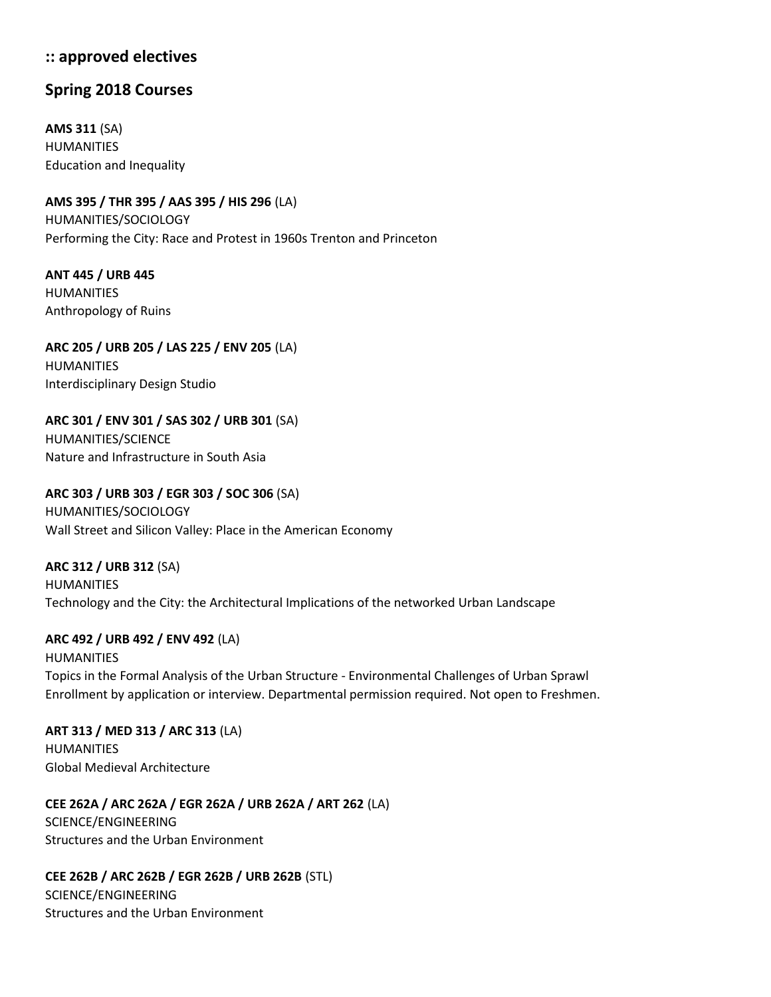## **:: approved electives**

## **Spring 2018 Courses**

**AMS 311** (SA) HUMANITIES Education and Inequality

**AMS 395 / THR 395 / AAS 395 / HIS 296** (LA) HUMANITIES/SOCIOLOGY Performing the City: Race and Protest in 1960s Trenton and Princeton

**ANT 445 / URB 445** HUMANITIES Anthropology of Ruins

**ARC 205 / URB 205 / LAS 225 / ENV 205** (LA) HUMANITIES Interdisciplinary Design Studio

**ARC 301 / ENV 301 / SAS 302 / URB 301** (SA) HUMANITIES/SCIENCE Nature and Infrastructure in South Asia

**ARC 303 / URB 303 / EGR 303 / SOC 306** (SA) HUMANITIES/SOCIOLOGY Wall Street and Silicon Valley: Place in the American Economy

**ARC 312 / URB 312** (SA) HUMANITIES Technology and the City: the Architectural Implications of the networked Urban Landscape

**ARC 492 / URB 492 / ENV 492** (LA)

HUMANITIES Topics in the Formal Analysis of the Urban Structure - Environmental Challenges of Urban Sprawl Enrollment by application or interview. Departmental permission required. Not open to Freshmen.

**ART 313 / MED 313 / ARC 313** (LA) HUMANITIES Global Medieval Architecture

**CEE 262A / ARC 262A / EGR 262A / URB 262A / ART 262** (LA) SCIENCE/ENGINEERING Structures and the Urban Environment

**CEE 262B / ARC 262B / EGR 262B / URB 262B** (STL)

SCIENCE/ENGINEERING Structures and the Urban Environment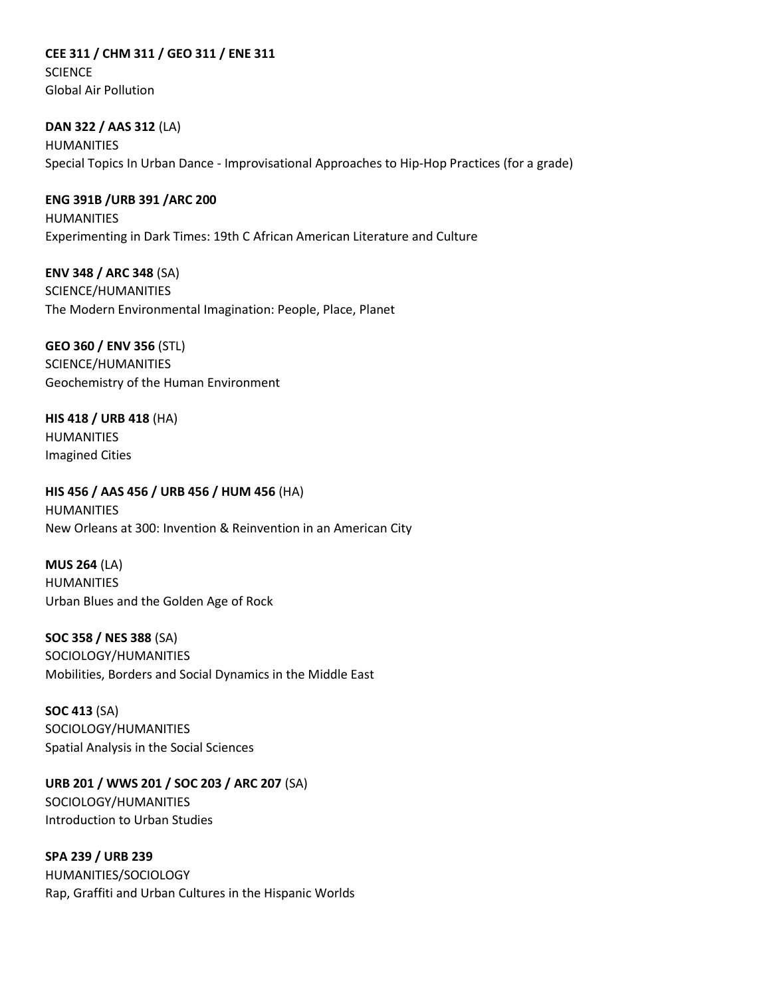**CEE 311 / CHM 311 / GEO 311 / ENE 311 SCIENCE** Global Air Pollution

**DAN 322 / AAS 312** (LA) HUMANITIES Special Topics In Urban Dance - Improvisational Approaches to Hip-Hop Practices (for a grade)

**ENG 391B /URB 391 /ARC 200** HUMANITIES Experimenting in Dark Times: 19th C African American Literature and Culture

**ENV 348 / ARC 348** (SA) SCIENCE/HUMANITIES The Modern Environmental Imagination: People, Place, Planet

**GEO 360 / ENV 356** (STL) SCIENCE/HUMANITIES Geochemistry of the Human Environment

**HIS 418 / URB 418** (HA) HUMANITIES Imagined Cities

**HIS 456 / AAS 456 / URB 456 / HUM 456** (HA) HUMANITIES New Orleans at 300: Invention & Reinvention in an American City

**MUS 264** (LA) HUMANITIES Urban Blues and the Golden Age of Rock

**SOC 358 / NES 388** (SA) SOCIOLOGY/HUMANITIES Mobilities, Borders and Social Dynamics in the Middle East

**SOC 413** (SA) SOCIOLOGY/HUMANITIES Spatial Analysis in the Social Sciences

**URB 201 / WWS 201 / SOC 203 / ARC 207** (SA) SOCIOLOGY/HUMANITIES Introduction to Urban Studies

**SPA 239 / URB 239**  HUMANITIES/SOCIOLOGY Rap, Graffiti and Urban Cultures in the Hispanic Worlds